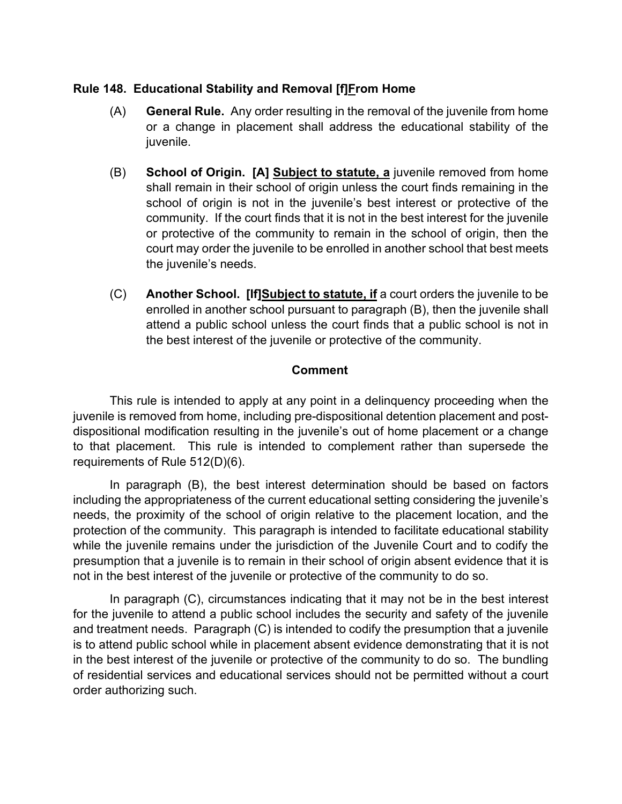#### **Rule 148. Educational Stability and Removal [f]From Home**

- (A) **General Rule.** Any order resulting in the removal of the juvenile from home or a change in placement shall address the educational stability of the juvenile.
- (B) **School of Origin. [A] Subject to statute, a** juvenile removed from home shall remain in their school of origin unless the court finds remaining in the school of origin is not in the juvenile's best interest or protective of the community. If the court finds that it is not in the best interest for the juvenile or protective of the community to remain in the school of origin, then the court may order the juvenile to be enrolled in another school that best meets the juvenile's needs.
- (C) **Another School. [If]Subject to statute, if** a court orders the juvenile to be enrolled in another school pursuant to paragraph (B), then the juvenile shall attend a public school unless the court finds that a public school is not in the best interest of the juvenile or protective of the community.

### **Comment**

 This rule is intended to apply at any point in a delinquency proceeding when the juvenile is removed from home, including pre-dispositional detention placement and postdispositional modification resulting in the juvenile's out of home placement or a change to that placement. This rule is intended to complement rather than supersede the requirements of Rule 512(D)(6).

 In paragraph (B), the best interest determination should be based on factors including the appropriateness of the current educational setting considering the juvenile's needs, the proximity of the school of origin relative to the placement location, and the protection of the community. This paragraph is intended to facilitate educational stability while the juvenile remains under the jurisdiction of the Juvenile Court and to codify the presumption that a juvenile is to remain in their school of origin absent evidence that it is not in the best interest of the juvenile or protective of the community to do so.

 In paragraph (C), circumstances indicating that it may not be in the best interest for the juvenile to attend a public school includes the security and safety of the juvenile and treatment needs. Paragraph (C) is intended to codify the presumption that a juvenile is to attend public school while in placement absent evidence demonstrating that it is not in the best interest of the juvenile or protective of the community to do so. The bundling of residential services and educational services should not be permitted without a court order authorizing such.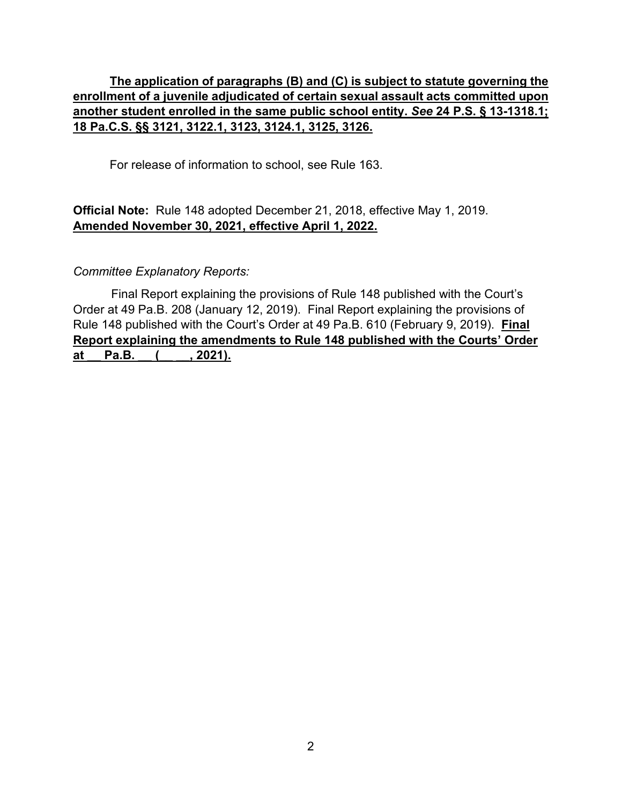## **The application of paragraphs (B) and (C) is subject to statute governing the enrollment of a juvenile adjudicated of certain sexual assault acts committed upon another student enrolled in the same public school entity.** *See* **24 P.S. § 13-1318.1; 18 Pa.C.S. §§ 3121, 3122.1, 3123, 3124.1, 3125, 3126.**

For release of information to school, see Rule 163.

## **Official Note:** Rule 148 adopted December 21, 2018, effective May 1, 2019. **Amended November 30, 2021, effective April 1, 2022.**

### *Committee Explanatory Reports:*

 Final Report explaining the provisions of Rule 148 published with the Court's Order at 49 Pa.B. 208 (January 12, 2019). Final Report explaining the provisions of Rule 148 published with the Court's Order at 49 Pa.B. 610 (February 9, 2019). **Final Report explaining the amendments to Rule 148 published with the Courts' Order**  at Pa.B. ( , 2021).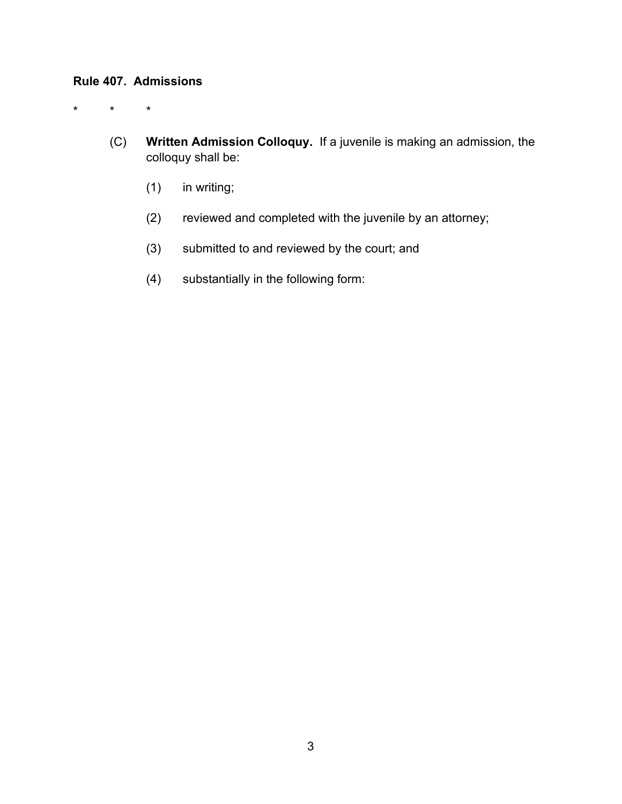# **Rule 407. Admissions**

\* \* \*

- (C) **Written Admission Colloquy.** If a juvenile is making an admission, the colloquy shall be:
	- (1) in writing;
	- (2) reviewed and completed with the juvenile by an attorney;
	- (3) submitted to and reviewed by the court; and
	- (4) substantially in the following form: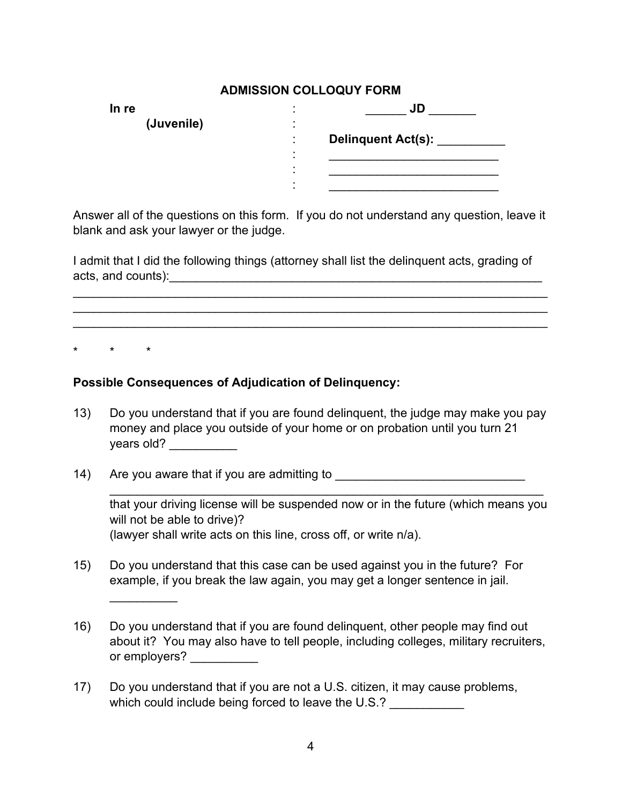### **ADMISSION COLLOQUY FORM**

| In re      |                | JU                 |
|------------|----------------|--------------------|
| (Juvenile) |                |                    |
|            |                | Delinquent Act(s): |
|            | $\blacksquare$ |                    |
|            |                |                    |
|            | ۰              |                    |

Answer all of the questions on this form. If you do not understand any question, leave it blank and ask your lawyer or the judge.

I admit that I did the following things (attorney shall list the delinquent acts, grading of acts, and counts):\_\_\_\_\_\_\_\_\_\_\_\_\_\_\_\_\_\_\_\_\_\_\_\_\_\_\_\_\_\_\_\_\_\_\_\_\_\_\_\_\_\_\_\_\_\_\_\_\_\_\_\_\_\_\_

\_\_\_\_\_\_\_\_\_\_\_\_\_\_\_\_\_\_\_\_\_\_\_\_\_\_\_\_\_\_\_\_\_\_\_\_\_\_\_\_\_\_\_\_\_\_\_\_\_\_\_\_\_\_\_\_\_\_\_\_\_\_\_\_\_\_\_\_\_\_ \_\_\_\_\_\_\_\_\_\_\_\_\_\_\_\_\_\_\_\_\_\_\_\_\_\_\_\_\_\_\_\_\_\_\_\_\_\_\_\_\_\_\_\_\_\_\_\_\_\_\_\_\_\_\_\_\_\_\_\_\_\_\_\_\_\_\_\_\_\_ \_\_\_\_\_\_\_\_\_\_\_\_\_\_\_\_\_\_\_\_\_\_\_\_\_\_\_\_\_\_\_\_\_\_\_\_\_\_\_\_\_\_\_\_\_\_\_\_\_\_\_\_\_\_\_\_\_\_\_\_\_\_\_\_\_\_\_\_\_\_

\* \* \*

 $\overline{\phantom{a}}$ 

### **Possible Consequences of Adjudication of Delinquency:**

- 13) Do you understand that if you are found delinquent, the judge may make you pay money and place you outside of your home or on probation until you turn 21 years old? \_\_\_\_\_\_\_\_\_\_\_\_
- 14) Are you aware that if you are admitting to \_\_\_\_\_\_\_\_\_\_\_\_\_\_\_\_\_\_\_\_\_\_\_\_\_\_\_\_\_\_\_\_\_

that your driving license will be suspended now or in the future (which means you will not be able to drive)? (lawyer shall write acts on this line, cross off, or write n/a).

\_\_\_\_\_\_\_\_\_\_\_\_\_\_\_\_\_\_\_\_\_\_\_\_\_\_\_\_\_\_\_\_\_\_\_\_\_\_\_\_\_\_\_\_\_\_\_\_\_\_\_\_\_\_\_\_\_\_\_\_\_\_\_\_

- 15) Do you understand that this case can be used against you in the future? For example, if you break the law again, you may get a longer sentence in jail.
- 16) Do you understand that if you are found delinquent, other people may find out about it? You may also have to tell people, including colleges, military recruiters, or employers? \_\_\_\_\_\_\_\_\_\_
- 17) Do you understand that if you are not a U.S. citizen, it may cause problems, which could include being forced to leave the U.S.?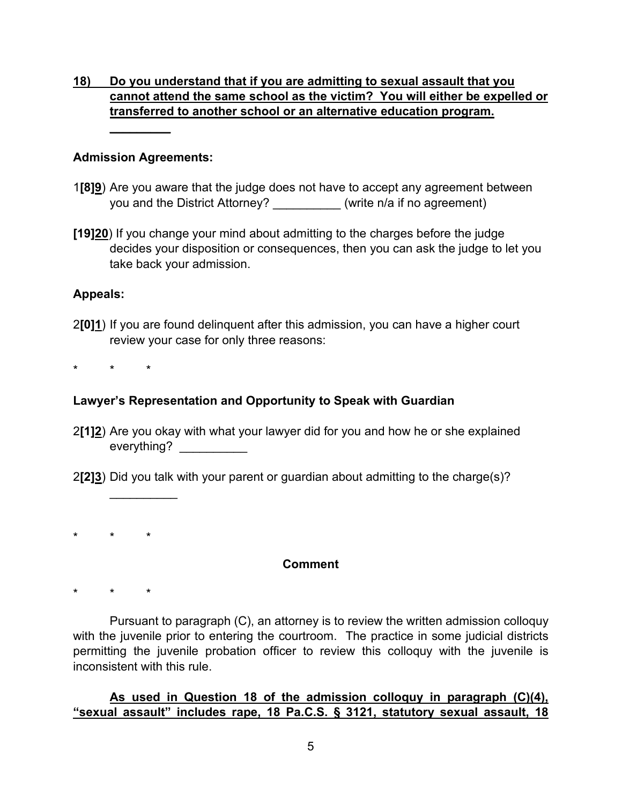# **18) Do you understand that if you are admitting to sexual assault that you cannot attend the same school as the victim? You will either be expelled or transferred to another school or an alternative education program.**

### **Admission Agreements:**

**\_\_\_\_\_\_\_\_\_**

- 1**[8]9**) Are you aware that the judge does not have to accept any agreement between you and the District Attorney? <br>
(write n/a if no agreement)
- **[19]20**) If you change your mind about admitting to the charges before the judge decides your disposition or consequences, then you can ask the judge to let you take back your admission.

### **Appeals:**

2**[0]1**) If you are found delinquent after this admission, you can have a higher court review your case for only three reasons:

\* \* \*

# **Lawyer's Representation and Opportunity to Speak with Guardian**

2**[1]2**) Are you okay with what your lawyer did for you and how he or she explained everything?

2**[2]3**) Did you talk with your parent or guardian about admitting to the charge(s)?

\* \* \*

 $\overline{\phantom{a}}$ 

## **Comment**

\* \* \*

Pursuant to paragraph (C), an attorney is to review the written admission colloquy with the juvenile prior to entering the courtroom. The practice in some judicial districts permitting the juvenile probation officer to review this colloquy with the juvenile is inconsistent with this rule.

## **As used in Question 18 of the admission colloquy in paragraph (C)(4), "sexual assault" includes rape, 18 Pa.C.S. § 3121, statutory sexual assault, 18**